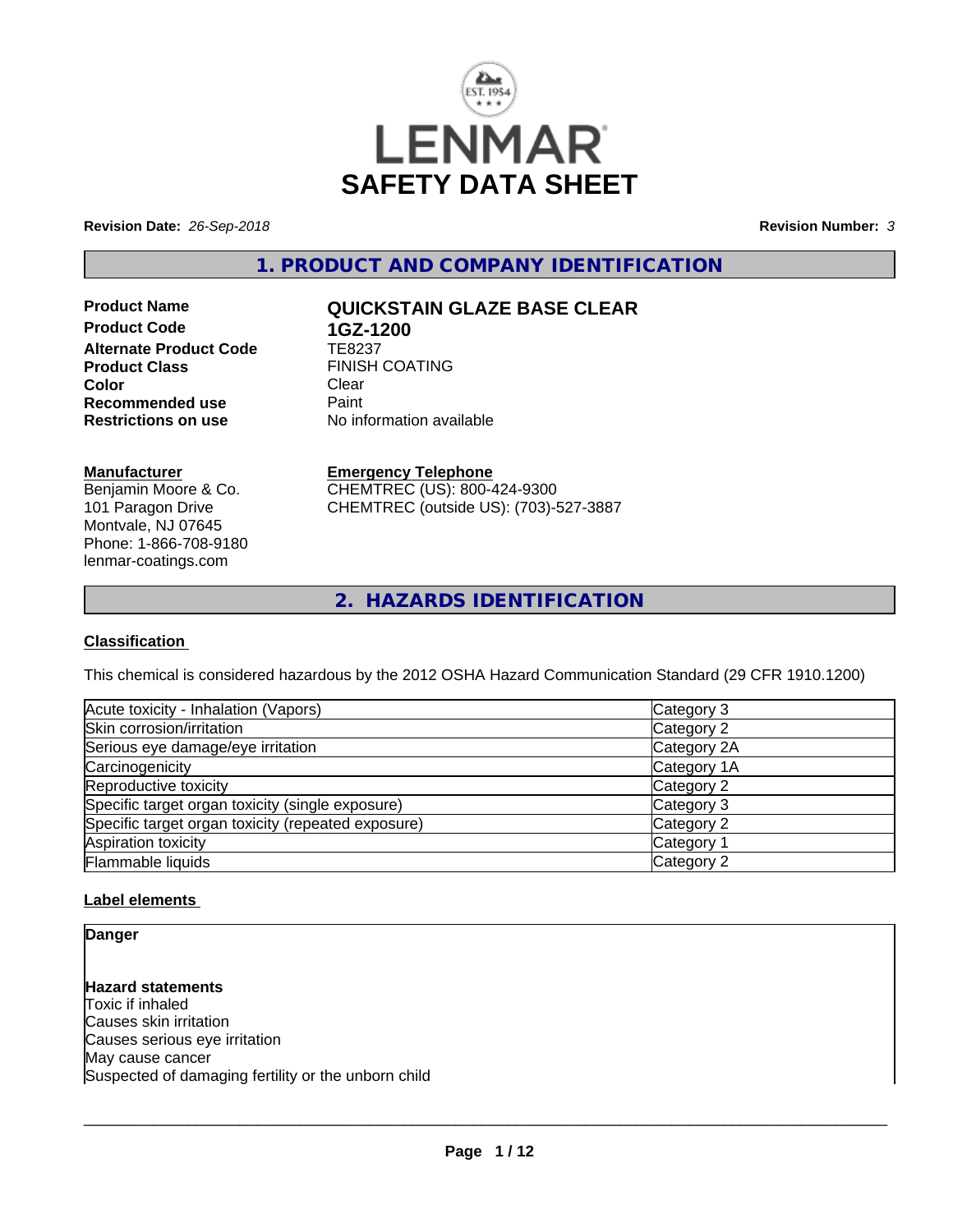

**Revision Date:** *26-Sep-2018* **Revision Number:** *3*

**1. PRODUCT AND COMPANY IDENTIFICATION**

**Product Code 1GZ-1200**<br>Alternate Product Code TE8237 **Alternate Product Code**<br>Product Class **Color** Clear Clear **Recommended use Faint Paint Paint Restrictions on use Fig. 2016** 

# **Product Name QUICKSTAIN GLAZE BASE CLEAR**

**FINISH COATING**<br>Clear **No information available** 

## **Manufacturer**

Benjamin Moore & Co. 101 Paragon Drive Montvale, NJ 07645 Phone: 1-866-708-9180 lenmar-coatings.com

# **Emergency Telephone**

CHEMTREC (US): 800-424-9300 CHEMTREC (outside US): (703)-527-3887

**2. HAZARDS IDENTIFICATION**

# **Classification**

This chemical is considered hazardous by the 2012 OSHA Hazard Communication Standard (29 CFR 1910.1200)

| Acute toxicity - Inhalation (Vapors)               | Category 3  |
|----------------------------------------------------|-------------|
| Skin corrosion/irritation                          | Category 2  |
| Serious eye damage/eye irritation                  | Category 2A |
| Carcinogenicity                                    | Category 1A |
| Reproductive toxicity                              | Category 2  |
| Specific target organ toxicity (single exposure)   | Category 3  |
| Specific target organ toxicity (repeated exposure) | Category 2  |
| Aspiration toxicity                                | Category 1  |
| Flammable liquids                                  | Category 2  |

# **Label elements**

**Danger**

**Hazard statements** Toxic if inhaled Causes skin irritation Causes serious eye irritation May cause cancer Suspected of damaging fertility or the unborn child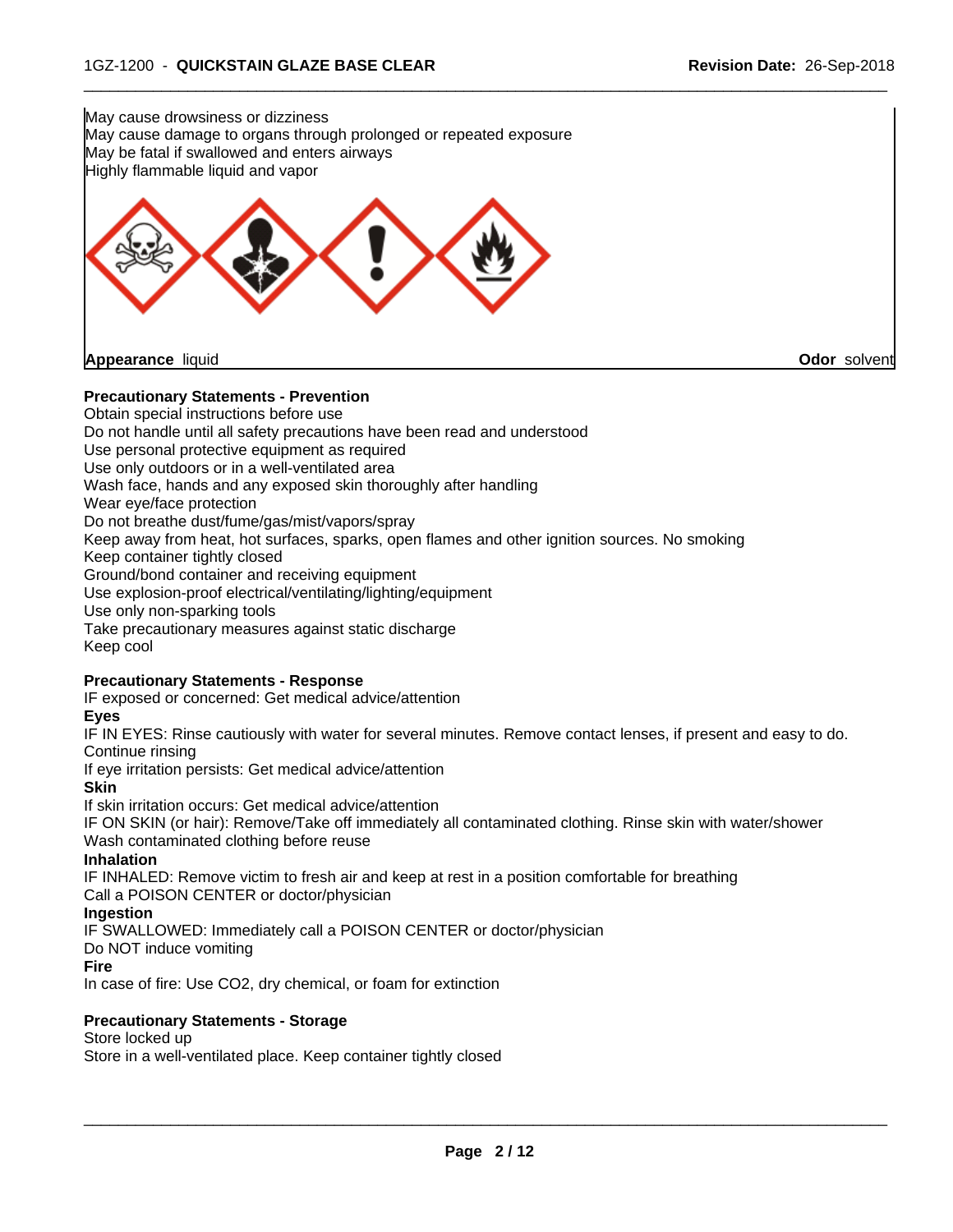

Do not handle until all safety precautions have been read and understood Use personal protective equipment as required Use only outdoors or in a well-ventilated area Wash face, hands and any exposed skin thoroughly after handling Wear eye/face protection Do not breathe dust/fume/gas/mist/vapors/spray Keep away from heat, hot surfaces, sparks, open flames and other ignition sources. No smoking Keep container tightly closed Ground/bond container and receiving equipment Use explosion-proof electrical/ventilating/lighting/equipment Use only non-sparking tools Take precautionary measures against static discharge Keep cool

#### **Precautionary Statements - Response**

IF exposed or concerned: Get medical advice/attention

# **Eyes**

IF IN EYES: Rinse cautiously with water forseveral minutes. Remove contact lenses, if present and easy to do. Continue rinsing

If eye irritation persists: Get medical advice/attention

#### **Skin**

If skin irritation occurs: Get medical advice/attention

IF ON SKIN (or hair): Remove/Take off immediately all contaminated clothing. Rinse skin with water/shower Wash contaminated clothing before reuse

#### **Inhalation**

IF INHALED: Remove victim to fresh air and keep at rest in a position comfortable for breathing

# Call a POISON CENTER or doctor/physician

## **Ingestion**

IF SWALLOWED: Immediately call a POISON CENTER or doctor/physician

Do NOT induce vomiting

#### **Fire**

In case of fire: Use CO2, dry chemical, or foam for extinction

#### **Precautionary Statements - Storage**

#### Store locked up

Store in a well-ventilated place. Keep container tightly closed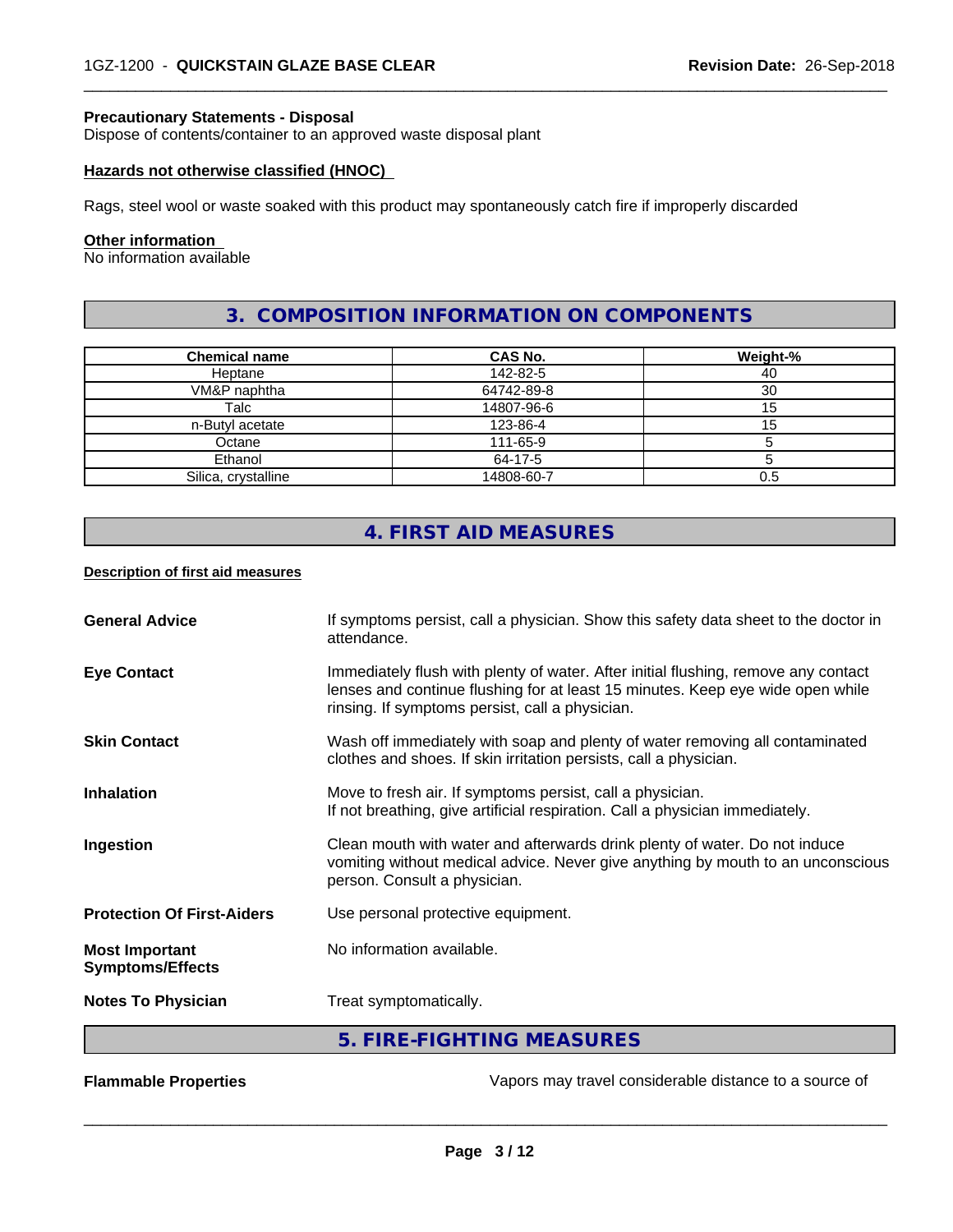# **Precautionary Statements - Disposal**

Dispose of contents/container to an approved waste disposal plant

#### **Hazards not otherwise classified (HNOC)**

Rags, steel wool or waste soaked with this product may spontaneously catch fire if improperly discarded

## **Other information**

No information available

# **3. COMPOSITION INFORMATION ON COMPONENTS**

 $\overline{\phantom{a}}$  ,  $\overline{\phantom{a}}$  ,  $\overline{\phantom{a}}$  ,  $\overline{\phantom{a}}$  ,  $\overline{\phantom{a}}$  ,  $\overline{\phantom{a}}$  ,  $\overline{\phantom{a}}$  ,  $\overline{\phantom{a}}$  ,  $\overline{\phantom{a}}$  ,  $\overline{\phantom{a}}$  ,  $\overline{\phantom{a}}$  ,  $\overline{\phantom{a}}$  ,  $\overline{\phantom{a}}$  ,  $\overline{\phantom{a}}$  ,  $\overline{\phantom{a}}$  ,  $\overline{\phantom{a}}$ 

| <b>Chemical name</b> | CAS No.    | Weight-% |
|----------------------|------------|----------|
| Heptane              | 142-82-5   | 40       |
| VM&P naphtha         | 64742-89-8 | 30       |
| Talc                 | 14807-96-6 |          |
| n-Butyl acetate      | 123-86-4   | כ: ו     |
| Octane               | 111-65-9   |          |
| Ethanol              | 64-17-5    |          |
| Silica, crystalline  | 14808-60-7 | 0.5      |

# **4. FIRST AID MEASURES**

#### **Description of first aid measures**

| <b>General Advice</b>                            | If symptoms persist, call a physician. Show this safety data sheet to the doctor in<br>attendance.                                                                                                                      |
|--------------------------------------------------|-------------------------------------------------------------------------------------------------------------------------------------------------------------------------------------------------------------------------|
| <b>Eye Contact</b>                               | Immediately flush with plenty of water. After initial flushing, remove any contact<br>lenses and continue flushing for at least 15 minutes. Keep eye wide open while<br>rinsing. If symptoms persist, call a physician. |
| <b>Skin Contact</b>                              | Wash off immediately with soap and plenty of water removing all contaminated<br>clothes and shoes. If skin irritation persists, call a physician.                                                                       |
| <b>Inhalation</b>                                | Move to fresh air. If symptoms persist, call a physician.<br>If not breathing, give artificial respiration. Call a physician immediately.                                                                               |
| Ingestion                                        | Clean mouth with water and afterwards drink plenty of water. Do not induce<br>vomiting without medical advice. Never give anything by mouth to an unconscious<br>person. Consult a physician.                           |
| <b>Protection Of First-Aiders</b>                | Use personal protective equipment.                                                                                                                                                                                      |
| <b>Most Important</b><br><b>Symptoms/Effects</b> | No information available.                                                                                                                                                                                               |
| <b>Notes To Physician</b>                        | Treat symptomatically.                                                                                                                                                                                                  |
|                                                  | 5. FIRE-FIGHTING MEASURES                                                                                                                                                                                               |

**Flammable Properties Exercise 20** Tappers may travel considerable distance to a source of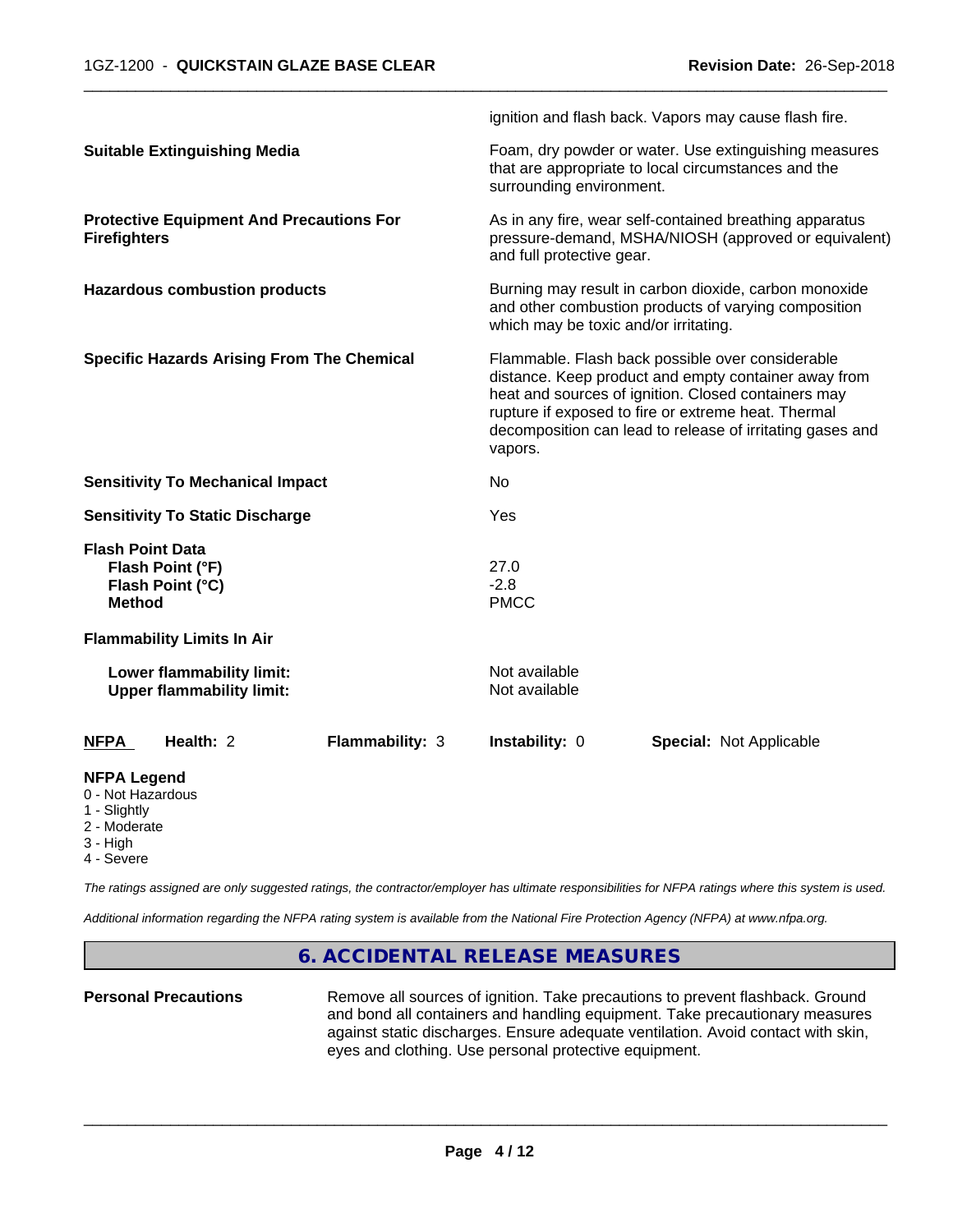|                                                                                                   |                 |                                                                                                                                                        | ignition and flash back. Vapors may cause flash fire.                                                                                                                                                                                                                               |  |  |
|---------------------------------------------------------------------------------------------------|-----------------|--------------------------------------------------------------------------------------------------------------------------------------------------------|-------------------------------------------------------------------------------------------------------------------------------------------------------------------------------------------------------------------------------------------------------------------------------------|--|--|
| <b>Suitable Extinguishing Media</b>                                                               |                 | Foam, dry powder or water. Use extinguishing measures<br>that are appropriate to local circumstances and the<br>surrounding environment.               |                                                                                                                                                                                                                                                                                     |  |  |
| <b>Protective Equipment And Precautions For</b><br><b>Firefighters</b>                            |                 | and full protective gear.                                                                                                                              | As in any fire, wear self-contained breathing apparatus<br>pressure-demand, MSHA/NIOSH (approved or equivalent)                                                                                                                                                                     |  |  |
| <b>Hazardous combustion products</b>                                                              |                 | Burning may result in carbon dioxide, carbon monoxide<br>and other combustion products of varying composition<br>which may be toxic and/or irritating. |                                                                                                                                                                                                                                                                                     |  |  |
| <b>Specific Hazards Arising From The Chemical</b>                                                 |                 | vapors.                                                                                                                                                | Flammable. Flash back possible over considerable<br>distance. Keep product and empty container away from<br>heat and sources of ignition. Closed containers may<br>rupture if exposed to fire or extreme heat. Thermal<br>decomposition can lead to release of irritating gases and |  |  |
| <b>Sensitivity To Mechanical Impact</b>                                                           |                 | No                                                                                                                                                     |                                                                                                                                                                                                                                                                                     |  |  |
| <b>Sensitivity To Static Discharge</b>                                                            |                 | Yes                                                                                                                                                    |                                                                                                                                                                                                                                                                                     |  |  |
| <b>Flash Point Data</b><br>Flash Point (°F)<br>Flash Point (°C)<br><b>Method</b>                  |                 | 27.0<br>$-2.8$<br><b>PMCC</b>                                                                                                                          |                                                                                                                                                                                                                                                                                     |  |  |
| <b>Flammability Limits In Air</b>                                                                 |                 |                                                                                                                                                        |                                                                                                                                                                                                                                                                                     |  |  |
| Lower flammability limit:<br><b>Upper flammability limit:</b>                                     |                 | Not available<br>Not available                                                                                                                         |                                                                                                                                                                                                                                                                                     |  |  |
| Health: 2<br><b>NFPA</b>                                                                          | Flammability: 3 | Instability: 0                                                                                                                                         | <b>Special: Not Applicable</b>                                                                                                                                                                                                                                                      |  |  |
| <b>NFPA Legend</b><br>0 - Not Hazardous<br>1 - Slightly<br>2 - Moderate<br>3 - High<br>4 - Severe |                 |                                                                                                                                                        |                                                                                                                                                                                                                                                                                     |  |  |

*The ratings assigned are only suggested ratings, the contractor/employer has ultimate responsibilities for NFPA ratings where this system is used.*

*Additional information regarding the NFPA rating system is available from the National Fire Protection Agency (NFPA) at www.nfpa.org.*

# **6. ACCIDENTAL RELEASE MEASURES**

**Personal Precautions** Remove all sources of ignition. Take precautions to prevent flashback. Ground and bond all containers and handling equipment. Take precautionary measures against static discharges. Ensure adequate ventilation. Avoid contact with skin, eyes and clothing. Use personal protective equipment.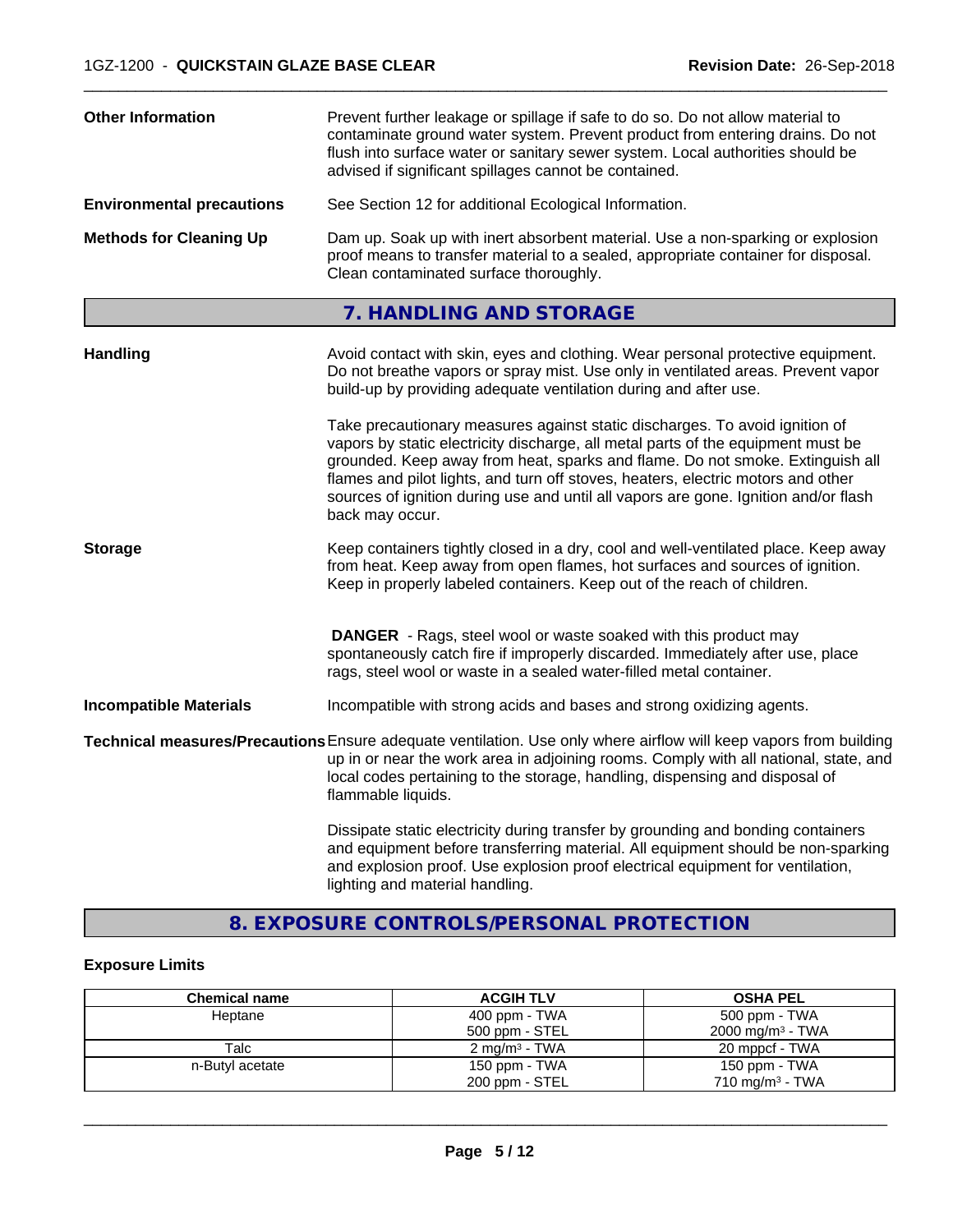| <b>Other Information</b>         | Prevent further leakage or spillage if safe to do so. Do not allow material to<br>contaminate ground water system. Prevent product from entering drains. Do not<br>flush into surface water or sanitary sewer system. Local authorities should be<br>advised if significant spillages cannot be contained.                                                                                                                                     |
|----------------------------------|------------------------------------------------------------------------------------------------------------------------------------------------------------------------------------------------------------------------------------------------------------------------------------------------------------------------------------------------------------------------------------------------------------------------------------------------|
| <b>Environmental precautions</b> | See Section 12 for additional Ecological Information.                                                                                                                                                                                                                                                                                                                                                                                          |
| <b>Methods for Cleaning Up</b>   | Dam up. Soak up with inert absorbent material. Use a non-sparking or explosion<br>proof means to transfer material to a sealed, appropriate container for disposal.<br>Clean contaminated surface thoroughly.                                                                                                                                                                                                                                  |
|                                  | 7. HANDLING AND STORAGE                                                                                                                                                                                                                                                                                                                                                                                                                        |
| <b>Handling</b>                  | Avoid contact with skin, eyes and clothing. Wear personal protective equipment.<br>Do not breathe vapors or spray mist. Use only in ventilated areas. Prevent vapor<br>build-up by providing adequate ventilation during and after use.                                                                                                                                                                                                        |
|                                  | Take precautionary measures against static discharges. To avoid ignition of<br>vapors by static electricity discharge, all metal parts of the equipment must be<br>grounded. Keep away from heat, sparks and flame. Do not smoke. Extinguish all<br>flames and pilot lights, and turn off stoves, heaters, electric motors and other<br>sources of ignition during use and until all vapors are gone. Ignition and/or flash<br>back may occur. |
| <b>Storage</b>                   | Keep containers tightly closed in a dry, cool and well-ventilated place. Keep away<br>from heat. Keep away from open flames, hot surfaces and sources of ignition.<br>Keep in properly labeled containers. Keep out of the reach of children.                                                                                                                                                                                                  |
|                                  | <b>DANGER</b> - Rags, steel wool or waste soaked with this product may<br>spontaneously catch fire if improperly discarded. Immediately after use, place<br>rags, steel wool or waste in a sealed water-filled metal container.                                                                                                                                                                                                                |
| <b>Incompatible Materials</b>    | Incompatible with strong acids and bases and strong oxidizing agents.                                                                                                                                                                                                                                                                                                                                                                          |
|                                  | Technical measures/Precautions Ensure adequate ventilation. Use only where airflow will keep vapors from building<br>up in or near the work area in adjoining rooms. Comply with all national, state, and<br>local codes pertaining to the storage, handling, dispensing and disposal of<br>flammable liquids.                                                                                                                                 |
|                                  | Dissipate static electricity during transfer by grounding and bonding containers<br>and equipment before transferring material. All equipment should be non-sparking<br>and explosion proof. Use explosion proof electrical equipment for ventilation,<br>lighting and material handling.                                                                                                                                                      |

# **8. EXPOSURE CONTROLS/PERSONAL PROTECTION**

# **Exposure Limits**

| <b>Chemical name</b> | <b>ACGIH TLV</b>          | <b>OSHA PEL</b>             |
|----------------------|---------------------------|-----------------------------|
| Heptane              | 400 ppm - TWA             | 500 ppm - TWA               |
|                      | 500 ppm - STEL            | $2000 \text{ mg/m}^3$ - TWA |
| Talc                 | 2 mg/m <sup>3</sup> - TWA | 20 mppcf - TWA              |
| n-Butyl acetate      | 150 ppm - $TWA$           | 150 ppm - TWA               |
|                      | 200 ppm - STEL            | 710 mg/m $3$ - TWA          |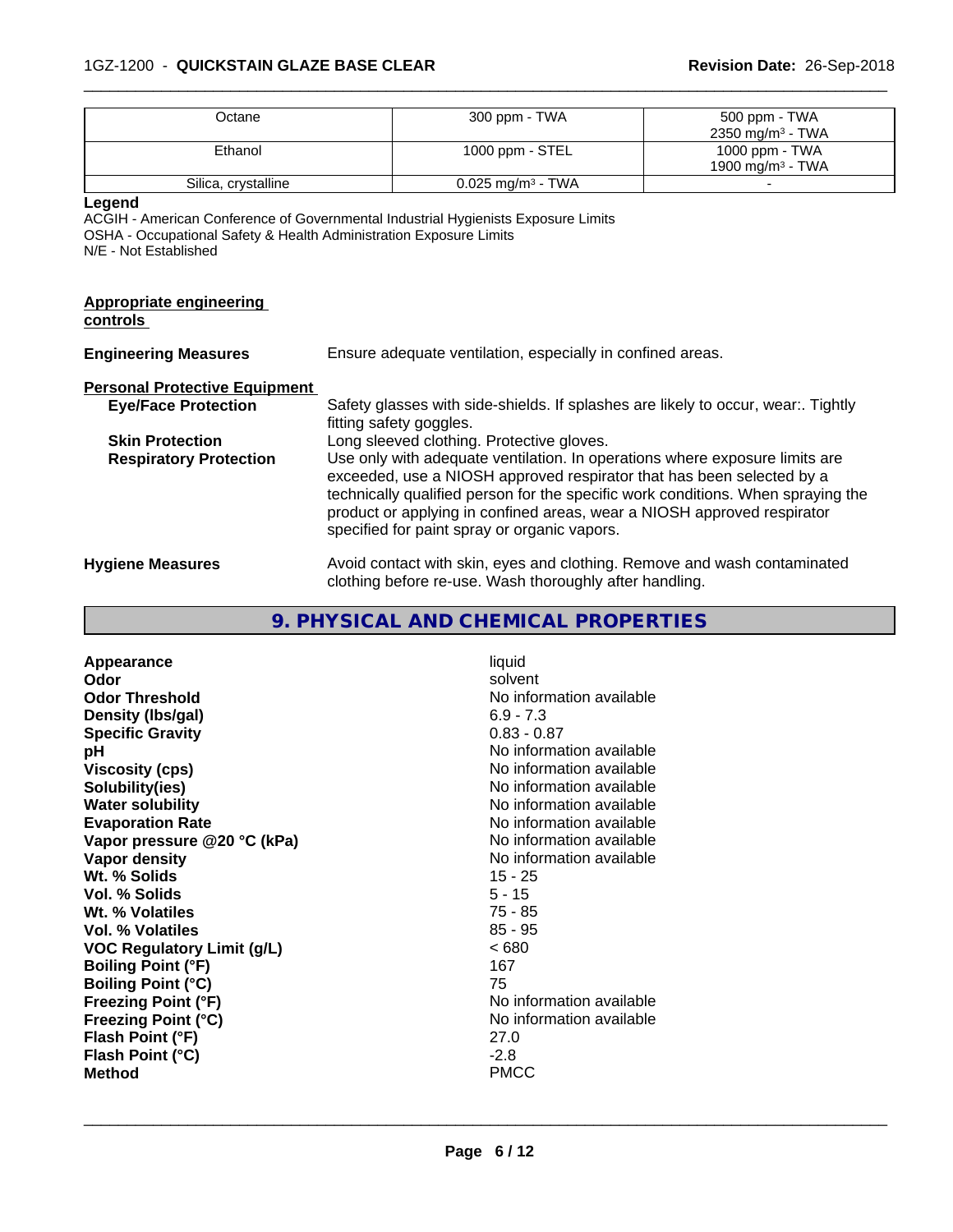# 1GZ-1200 - **QUICKSTAIN GLAZE BASE CLEAR Revision Date:** 26-Sep-2018

| Octane                                                                                                | 300 ppm - TWA                                                                                                                                                                                                                                                                                                                                                                                                    | 500 ppm - TWA<br>2350 mg/m <sup>3</sup> - TWA |  |
|-------------------------------------------------------------------------------------------------------|------------------------------------------------------------------------------------------------------------------------------------------------------------------------------------------------------------------------------------------------------------------------------------------------------------------------------------------------------------------------------------------------------------------|-----------------------------------------------|--|
| Ethanol                                                                                               | 1000 ppm - STEL<br>1000 ppm - TWA<br>1900 mg/m <sup>3</sup> - TWA                                                                                                                                                                                                                                                                                                                                                |                                               |  |
| Silica, crystalline                                                                                   | $0.025$ mg/m <sup>3</sup> - TWA                                                                                                                                                                                                                                                                                                                                                                                  |                                               |  |
| Legend<br>OSHA - Occupational Safety & Health Administration Exposure Limits<br>N/E - Not Established | ACGIH - American Conference of Governmental Industrial Hygienists Exposure Limits                                                                                                                                                                                                                                                                                                                                |                                               |  |
| <b>Appropriate engineering</b><br>controls                                                            |                                                                                                                                                                                                                                                                                                                                                                                                                  |                                               |  |
| <b>Engineering Measures</b>                                                                           | Ensure adequate ventilation, especially in confined areas.                                                                                                                                                                                                                                                                                                                                                       |                                               |  |
| <b>Personal Protective Equipment</b>                                                                  |                                                                                                                                                                                                                                                                                                                                                                                                                  |                                               |  |
| <b>Eye/Face Protection</b>                                                                            | Safety glasses with side-shields. If splashes are likely to occur, wear:. Tightly<br>fitting safety goggles.                                                                                                                                                                                                                                                                                                     |                                               |  |
| <b>Skin Protection</b><br><b>Respiratory Protection</b>                                               | Long sleeved clothing. Protective gloves.<br>Use only with adequate ventilation. In operations where exposure limits are<br>exceeded, use a NIOSH approved respirator that has been selected by a<br>technically qualified person for the specific work conditions. When spraying the<br>product or applying in confined areas, wear a NIOSH approved respirator<br>specified for paint spray or organic vapors. |                                               |  |
| <b>Hygiene Measures</b>                                                                               | Avoid contact with skin, eyes and clothing. Remove and wash contaminated<br>clothing before re-use. Wash thoroughly after handling.                                                                                                                                                                                                                                                                              |                                               |  |

 $\overline{\phantom{a}}$  ,  $\overline{\phantom{a}}$  ,  $\overline{\phantom{a}}$  ,  $\overline{\phantom{a}}$  ,  $\overline{\phantom{a}}$  ,  $\overline{\phantom{a}}$  ,  $\overline{\phantom{a}}$  ,  $\overline{\phantom{a}}$  ,  $\overline{\phantom{a}}$  ,  $\overline{\phantom{a}}$  ,  $\overline{\phantom{a}}$  ,  $\overline{\phantom{a}}$  ,  $\overline{\phantom{a}}$  ,  $\overline{\phantom{a}}$  ,  $\overline{\phantom{a}}$  ,  $\overline{\phantom{a}}$ 

## **9. PHYSICAL AND CHEMICAL PROPERTIES**

**Appearance** liquid<br> **Appearance** liquid<br> **Odor** solver **Odor** solvent **Odor Threshold No information available No information available Density (lbs/gal)** 6.9 - 7.3 **Specific Gravity** 0.83 - 0.87 **pH**<br>
Viscosity (cps) The Contract Contract Contract Contract Contract Contract Contract Contract Contract Contract C<br>
No information available **Viscosity (cps)** <br> **Viscosity (cps)** No information available<br>
No information available<br>
No information available **Water solubility**<br> **Evaporation Rate**<br> **Evaporation Rate**<br> **Evaporation Rate Vapor** pressure @20 °C (kPa) **Vapor density**<br> **We Solids**<br>
We Solids
25 - 25 **Wt. % Solids** 15 - 25 **Vol. % Solids Wt. % Volatiles** 75 - 85 **Vol. % Volatiles** 85 - 95 **VOC Regulatory Limit (g/L)** < 680 **Boiling Point (°F)** 167<br> **Boiling Point (°C)** 167 **Boiling Point (°C)**<br>**Freezing Point (°F) Freezing Point (°C)** No information available **Flash Point (°F)** 27.0 **Flash Point (°C)** -2.8 **Method** PMCC

**Solubility(ies)** No information available No information available<br>No information available **No information available**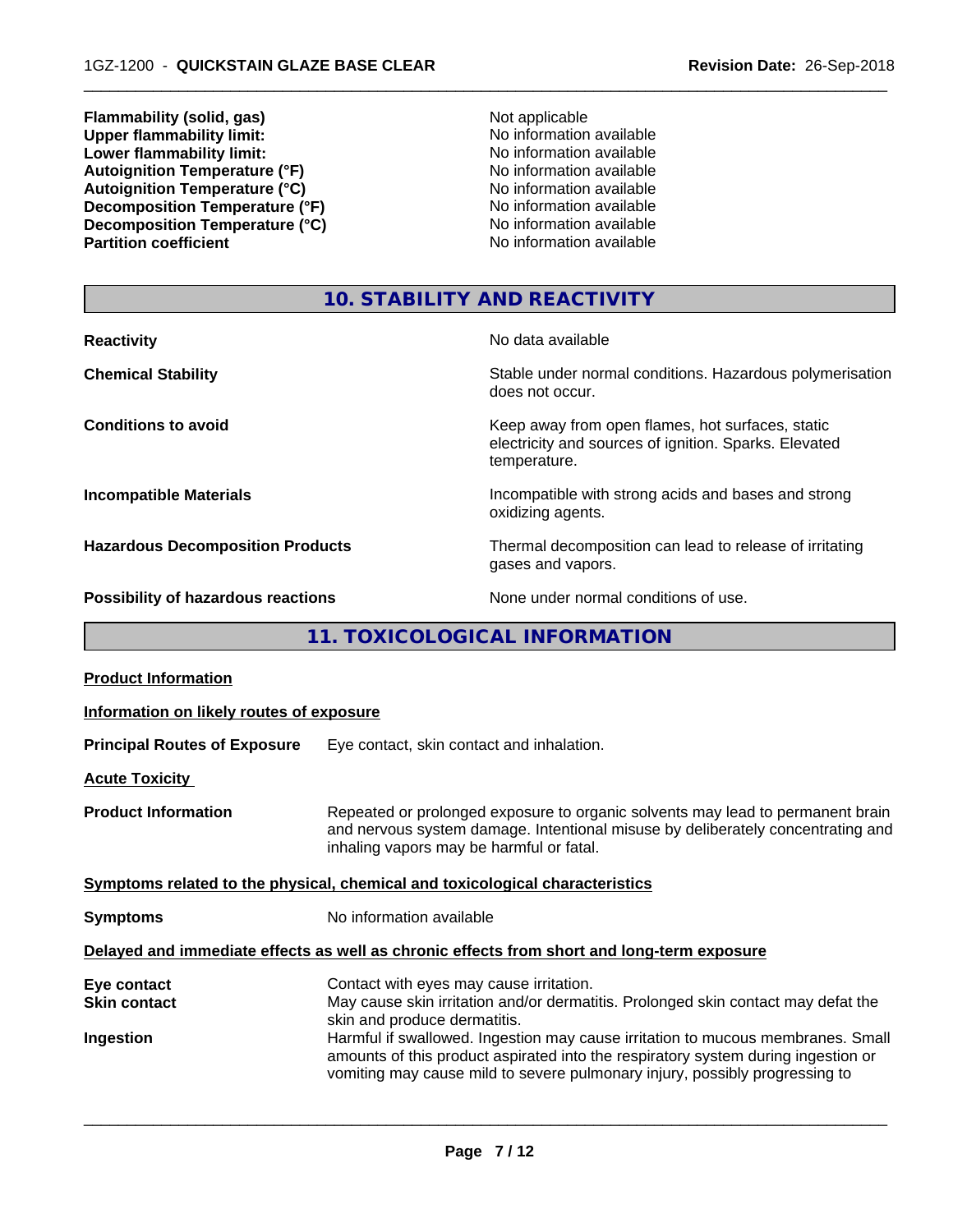**Flammability (solid, gas)**<br> **Commability limit:**<br>
Upper flammability limit:<br>
Upper flammability limit: **Upper flammability limit:**<br> **Lower flammability limit:**<br> **Lower flammability limit:**<br>
No information available **Lower flammability limit:**<br> **Autoignition Temperature (°F)**<br>
Mo information available<br>
No information available Autoignition Temperature (°F)<br>
Autoignition Temperature (°C)<br>
No information available<br>
No information available Autoignition Temperature (°C)<br>
Decomposition Temperature (°F)<br>
No information available **Decomposition Temperature (°F)**<br> **Decomposition Temperature (°C)**<br>
No information available<br>
No information available **Decomposition Temperature (°C) Partition coefficient** 

 $\overline{\phantom{a}}$  ,  $\overline{\phantom{a}}$  ,  $\overline{\phantom{a}}$  ,  $\overline{\phantom{a}}$  ,  $\overline{\phantom{a}}$  ,  $\overline{\phantom{a}}$  ,  $\overline{\phantom{a}}$  ,  $\overline{\phantom{a}}$  ,  $\overline{\phantom{a}}$  ,  $\overline{\phantom{a}}$  ,  $\overline{\phantom{a}}$  ,  $\overline{\phantom{a}}$  ,  $\overline{\phantom{a}}$  ,  $\overline{\phantom{a}}$  ,  $\overline{\phantom{a}}$  ,  $\overline{\phantom{a}}$ 

# **10. STABILITY AND REACTIVITY**

| <b>Reactivity</b>                         | No data available                                                                                                         |
|-------------------------------------------|---------------------------------------------------------------------------------------------------------------------------|
| <b>Chemical Stability</b>                 | Stable under normal conditions. Hazardous polymerisation<br>does not occur.                                               |
| <b>Conditions to avoid</b>                | Keep away from open flames, hot surfaces, static<br>electricity and sources of ignition. Sparks. Elevated<br>temperature. |
| <b>Incompatible Materials</b>             | Incompatible with strong acids and bases and strong<br>oxidizing agents.                                                  |
| <b>Hazardous Decomposition Products</b>   | Thermal decomposition can lead to release of irritating<br>gases and vapors.                                              |
| <b>Possibility of hazardous reactions</b> | None under normal conditions of use.                                                                                      |

# **11. TOXICOLOGICAL INFORMATION**

| <b>Product Information</b>                      |                                                                                                                                                                                                                                                                                                                                                                                                                     |
|-------------------------------------------------|---------------------------------------------------------------------------------------------------------------------------------------------------------------------------------------------------------------------------------------------------------------------------------------------------------------------------------------------------------------------------------------------------------------------|
| Information on likely routes of exposure        |                                                                                                                                                                                                                                                                                                                                                                                                                     |
| <b>Principal Routes of Exposure</b>             | Eye contact, skin contact and inhalation.                                                                                                                                                                                                                                                                                                                                                                           |
| <b>Acute Toxicity</b>                           |                                                                                                                                                                                                                                                                                                                                                                                                                     |
| <b>Product Information</b>                      | Repeated or prolonged exposure to organic solvents may lead to permanent brain<br>and nervous system damage. Intentional misuse by deliberately concentrating and<br>inhaling vapors may be harmful or fatal.                                                                                                                                                                                                       |
|                                                 | Symptoms related to the physical, chemical and toxicological characteristics                                                                                                                                                                                                                                                                                                                                        |
| <b>Symptoms</b>                                 | No information available                                                                                                                                                                                                                                                                                                                                                                                            |
|                                                 | Delayed and immediate effects as well as chronic effects from short and long-term exposure                                                                                                                                                                                                                                                                                                                          |
| Eye contact<br><b>Skin contact</b><br>Ingestion | Contact with eyes may cause irritation.<br>May cause skin irritation and/or dermatitis. Prolonged skin contact may defat the<br>skin and produce dermatitis.<br>Harmful if swallowed. Ingestion may cause irritation to mucous membranes. Small<br>amounts of this product aspirated into the respiratory system during ingestion or<br>vomiting may cause mild to severe pulmonary injury, possibly progressing to |
|                                                 |                                                                                                                                                                                                                                                                                                                                                                                                                     |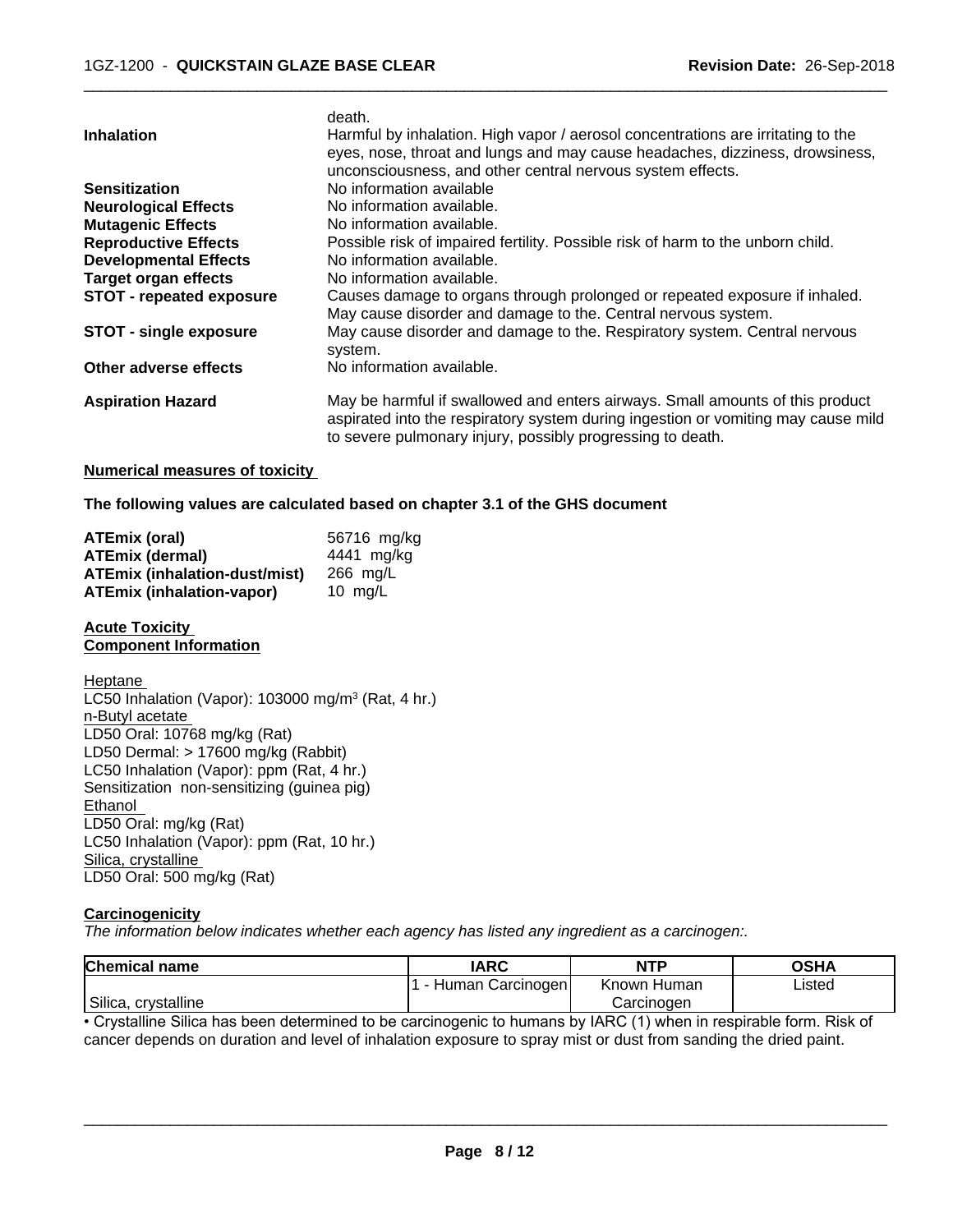|                                 | death.                                                                               |
|---------------------------------|--------------------------------------------------------------------------------------|
| <b>Inhalation</b>               | Harmful by inhalation. High vapor / aerosol concentrations are irritating to the     |
|                                 | eyes, nose, throat and lungs and may cause headaches, dizziness, drowsiness,         |
|                                 | unconsciousness, and other central nervous system effects.                           |
| <b>Sensitization</b>            | No information available                                                             |
| <b>Neurological Effects</b>     | No information available.                                                            |
| <b>Mutagenic Effects</b>        | No information available.                                                            |
| <b>Reproductive Effects</b>     | Possible risk of impaired fertility. Possible risk of harm to the unborn child.      |
| <b>Developmental Effects</b>    | No information available.                                                            |
| <b>Target organ effects</b>     | No information available.                                                            |
| <b>STOT - repeated exposure</b> | Causes damage to organs through prolonged or repeated exposure if inhaled.           |
|                                 | May cause disorder and damage to the. Central nervous system.                        |
| <b>STOT - single exposure</b>   | May cause disorder and damage to the. Respiratory system. Central nervous<br>system. |
| Other adverse effects           | No information available.                                                            |
| <b>Aspiration Hazard</b>        | May be harmful if swallowed and enters airways. Small amounts of this product        |
|                                 | aspirated into the respiratory system during ingestion or vomiting may cause mild    |
|                                 | to severe pulmonary injury, possibly progressing to death.                           |

## **Numerical measures of toxicity**

#### **The following values are calculated based on chapter 3.1 of the GHS document**

| <b>ATEmix (oral)</b>                 | 56716 mg/kg |
|--------------------------------------|-------------|
| <b>ATEmix (dermal)</b>               | 4441 mg/ka  |
| <b>ATEmix (inhalation-dust/mist)</b> | 266 mg/L    |
| <b>ATEmix (inhalation-vapor)</b>     | 10 $ma/L$   |

#### **Acute Toxicity Component Information**

Heptane LC50 Inhalation (Vapor): 103000 mg/m<sup>3</sup> (Rat, 4 hr.) n-Butyl acetate LD50 Oral: 10768 mg/kg (Rat) LD50 Dermal: > 17600 mg/kg (Rabbit) LC50 Inhalation (Vapor): ppm (Rat, 4 hr.) Sensitization non-sensitizing (guinea pig) Ethanol LD50 Oral: mg/kg (Rat) LC50 Inhalation (Vapor): ppm (Rat, 10 hr.) Silica, crystalline LD50 Oral: 500 mg/kg (Rat)

#### **Carcinogenicity**

*The information below indicateswhether each agency has listed any ingredient as a carcinogen:.*

| Chemical<br>I name     | <b>IARC</b>               | NTP            | <b>OSHA</b> |
|------------------------|---------------------------|----------------|-------------|
|                        | Carcinogen<br>uman '<br>- | Known<br>Human | Listed      |
| Silica,<br>crvstalline |                           | Carcinogen     |             |

• Crystalline Silica has been determined to be carcinogenic to humans by IARC (1) when in respirable form. Risk of cancer depends on duration and level of inhalation exposure to spray mist or dust from sanding the dried paint.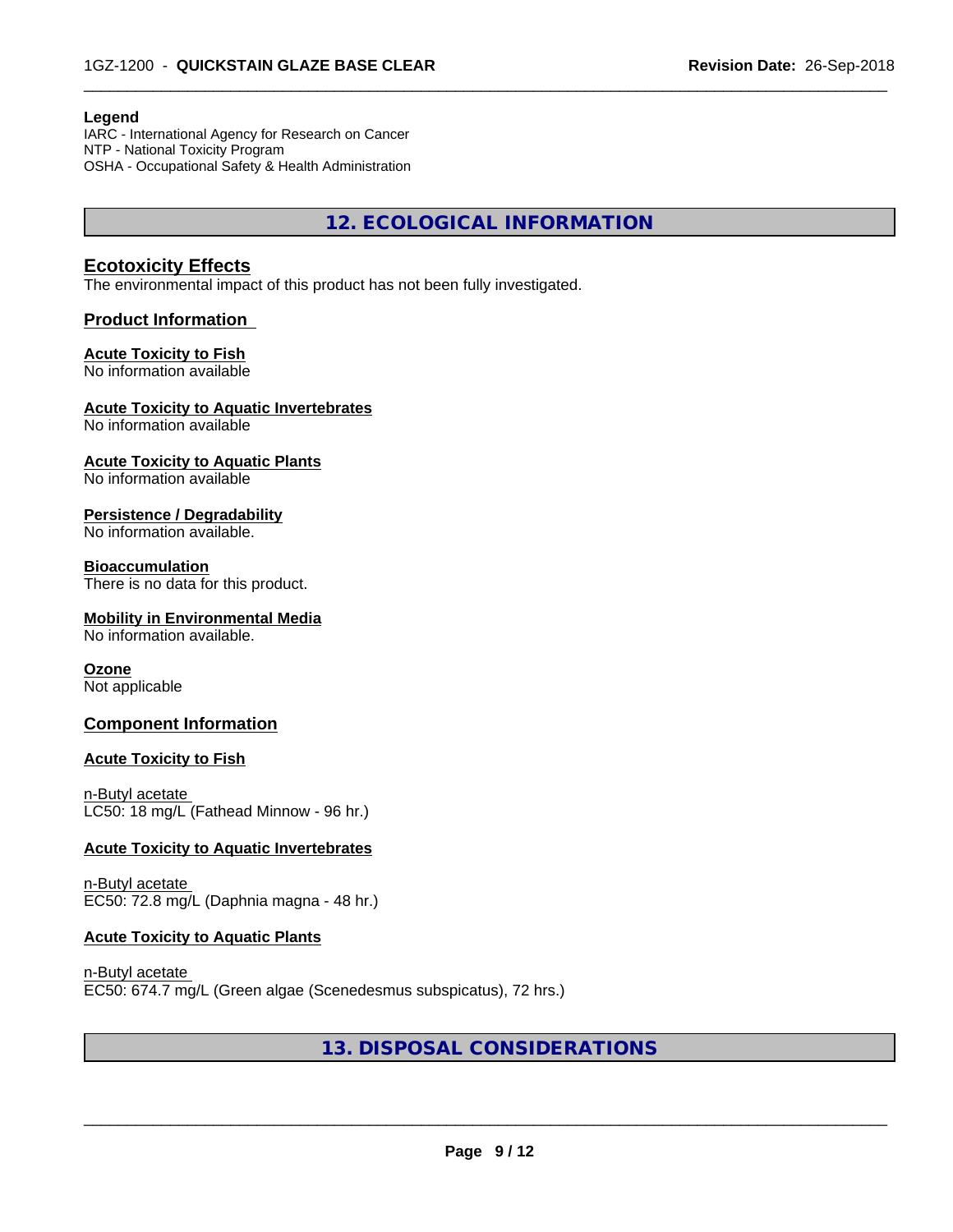#### **Legend**

IARC - International Agency for Research on Cancer NTP - National Toxicity Program OSHA - Occupational Safety & Health Administration

**12. ECOLOGICAL INFORMATION**

 $\overline{\phantom{a}}$  ,  $\overline{\phantom{a}}$  ,  $\overline{\phantom{a}}$  ,  $\overline{\phantom{a}}$  ,  $\overline{\phantom{a}}$  ,  $\overline{\phantom{a}}$  ,  $\overline{\phantom{a}}$  ,  $\overline{\phantom{a}}$  ,  $\overline{\phantom{a}}$  ,  $\overline{\phantom{a}}$  ,  $\overline{\phantom{a}}$  ,  $\overline{\phantom{a}}$  ,  $\overline{\phantom{a}}$  ,  $\overline{\phantom{a}}$  ,  $\overline{\phantom{a}}$  ,  $\overline{\phantom{a}}$ 

# **Ecotoxicity Effects**

The environmental impact of this product has not been fully investigated.

## **Product Information**

# **Acute Toxicity to Fish**

No information available

## **Acute Toxicity to Aquatic Invertebrates**

No information available

## **Acute Toxicity to Aquatic Plants**

No information available

## **Persistence / Degradability**

No information available.

#### **Bioaccumulation**

There is no data for this product.

#### **Mobility in Environmental Media**

No information available.

#### **Ozone**

Not applicable

# **Component Information**

#### **Acute Toxicity to Fish**

n-Butyl acetate LC50: 18 mg/L (Fathead Minnow - 96 hr.)

#### **Acute Toxicity to Aquatic Invertebrates**

n-Butyl acetate EC50: 72.8 mg/L (Daphnia magna - 48 hr.)

#### **Acute Toxicity to Aquatic Plants**

n-Butyl acetate EC50: 674.7 mg/L (Green algae (Scenedesmus subspicatus), 72 hrs.)

# **13. DISPOSAL CONSIDERATIONS**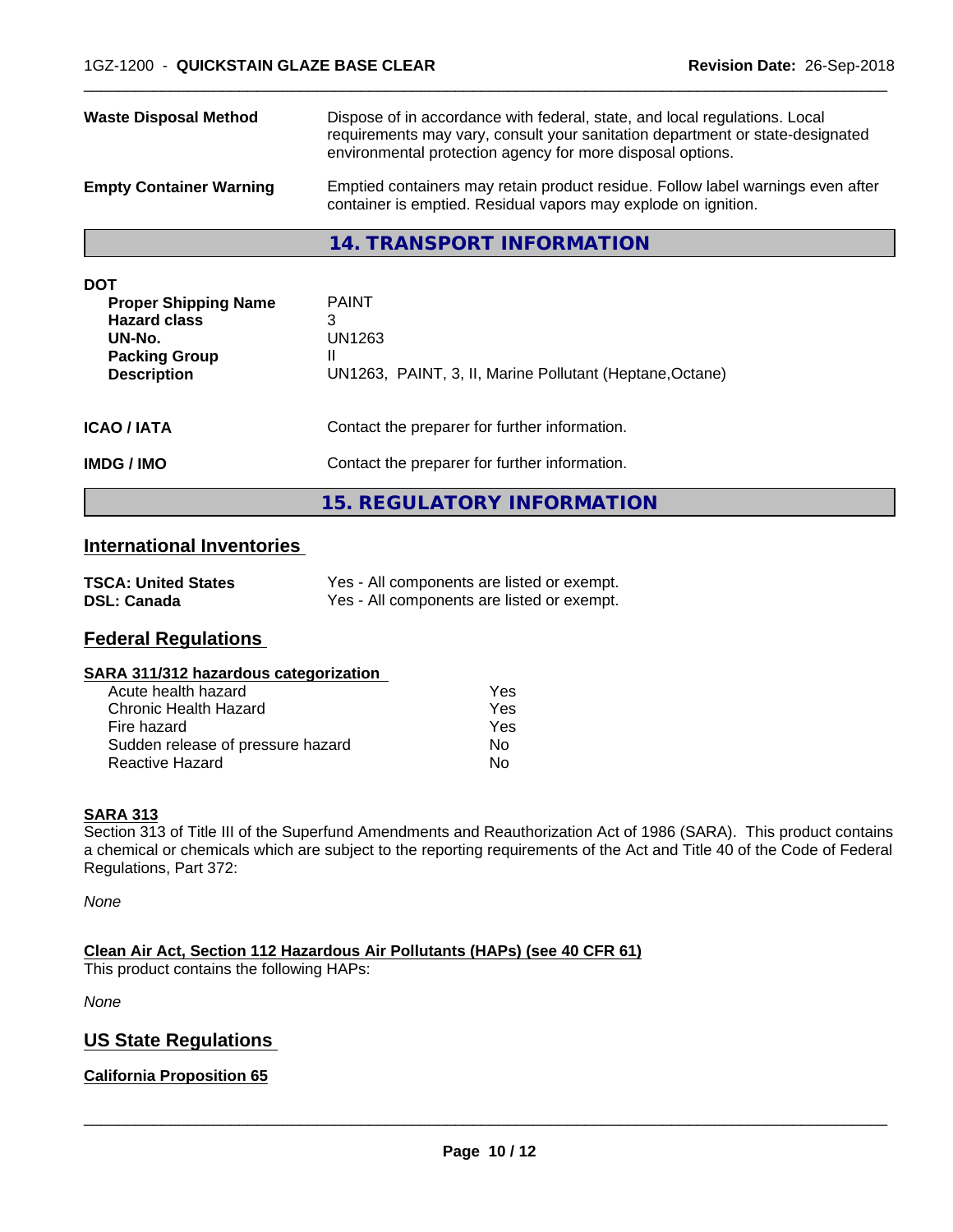| <b>Waste Disposal Method</b>   | Dispose of in accordance with federal, state, and local regulations. Local<br>requirements may vary, consult your sanitation department or state-designated<br>environmental protection agency for more disposal options. |
|--------------------------------|---------------------------------------------------------------------------------------------------------------------------------------------------------------------------------------------------------------------------|
| <b>Empty Container Warning</b> | Emptied containers may retain product residue. Follow label warnings even after<br>container is emptied. Residual vapors may explode on ignition.                                                                         |

## **14. TRANSPORT INFORMATION**

| <b>DOT</b><br><b>Proper Shipping Name</b><br><b>Hazard class</b><br>UN-No.<br><b>Packing Group</b><br><b>Description</b> | <b>PAINT</b><br>3<br>UN1263<br>н<br>UN1263, PAINT, 3, II, Marine Pollutant (Heptane, Octane)   |  |
|--------------------------------------------------------------------------------------------------------------------------|------------------------------------------------------------------------------------------------|--|
| <b>ICAO/IATA</b><br><b>IMDG/IMO</b>                                                                                      | Contact the preparer for further information.<br>Contact the preparer for further information. |  |
|                                                                                                                          | 15. REGULATORY INFORMATION                                                                     |  |

# **International Inventories**

| <b>TSCA: United States</b> | Yes - All components are listed or exempt. |
|----------------------------|--------------------------------------------|
| <b>DSL: Canada</b>         | Yes - All components are listed or exempt. |

# **Federal Regulations**

#### **SARA 311/312 hazardous categorization**

| Acute health hazard               | Yes |
|-----------------------------------|-----|
| Chronic Health Hazard             | Yes |
| Fire hazard                       | Yes |
| Sudden release of pressure hazard | Nο  |
| <b>Reactive Hazard</b>            | N٥  |

## **SARA 313**

Section 313 of Title III of the Superfund Amendments and Reauthorization Act of 1986 (SARA). This product contains a chemical or chemicals which are subject to the reporting requirements of the Act and Title 40 of the Code of Federal Regulations, Part 372:

*None*

**Clean Air Act,Section 112 Hazardous Air Pollutants (HAPs) (see 40 CFR 61)**

This product contains the following HAPs:

*None*

# **US State Regulations**

## **California Proposition 65**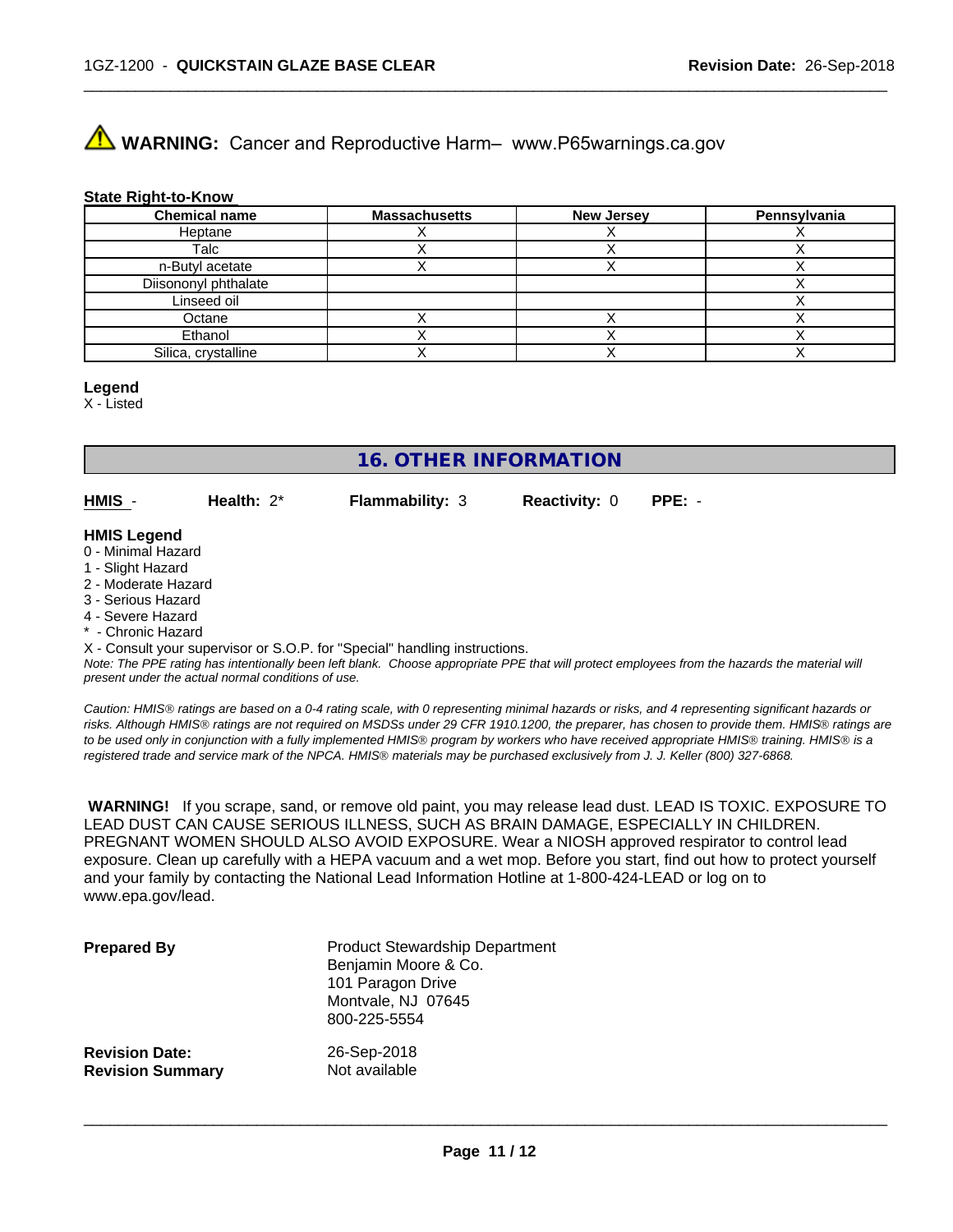# **A** WARNING: Cancer and Reproductive Harm– www.P65warnings.ca.gov

#### **State Right-to-Know**

| <b>Chemical name</b> | <b>Massachusetts</b> | <b>New Jersey</b> | Pennsylvania |
|----------------------|----------------------|-------------------|--------------|
| Heptane              |                      |                   |              |
| Talc                 |                      |                   |              |
| n-Butyl acetate      |                      |                   |              |
| Diisononyl phthalate |                      |                   |              |
| Linseed oil          |                      |                   |              |
| Octane               |                      |                   |              |
| Ethanol              |                      |                   |              |
| Silica, crystalline  |                      |                   |              |

 $\overline{\phantom{a}}$  ,  $\overline{\phantom{a}}$  ,  $\overline{\phantom{a}}$  ,  $\overline{\phantom{a}}$  ,  $\overline{\phantom{a}}$  ,  $\overline{\phantom{a}}$  ,  $\overline{\phantom{a}}$  ,  $\overline{\phantom{a}}$  ,  $\overline{\phantom{a}}$  ,  $\overline{\phantom{a}}$  ,  $\overline{\phantom{a}}$  ,  $\overline{\phantom{a}}$  ,  $\overline{\phantom{a}}$  ,  $\overline{\phantom{a}}$  ,  $\overline{\phantom{a}}$  ,  $\overline{\phantom{a}}$ 

# **Legend**

X - Listed

# **16. OTHER INFORMATION**

**HMIS** - **Health:** 2\* **Flammability:** 3 **Reactivity:** 0 **PPE:** -

#### **HMIS Legend**

- 0 Minimal Hazard
- 1 Slight Hazard
- 2 Moderate Hazard
- 3 Serious Hazard
- 4 Severe Hazard
- \* Chronic Hazard

X - Consult your supervisor or S.O.P. for "Special" handling instructions.

*Note: The PPE rating has intentionally been left blank. Choose appropriate PPE that will protect employees from the hazards the material will present under the actual normal conditions of use.*

*Caution: HMISÒ ratings are based on a 0-4 rating scale, with 0 representing minimal hazards or risks, and 4 representing significant hazards or risks. Although HMISÒ ratings are not required on MSDSs under 29 CFR 1910.1200, the preparer, has chosen to provide them. HMISÒ ratings are to be used only in conjunction with a fully implemented HMISÒ program by workers who have received appropriate HMISÒ training. HMISÒ is a registered trade and service mark of the NPCA. HMISÒ materials may be purchased exclusively from J. J. Keller (800) 327-6868.*

 **WARNING!** If you scrape, sand, or remove old paint, you may release lead dust. LEAD IS TOXIC. EXPOSURE TO LEAD DUST CAN CAUSE SERIOUS ILLNESS, SUCH AS BRAIN DAMAGE, ESPECIALLY IN CHILDREN. PREGNANT WOMEN SHOULD ALSO AVOID EXPOSURE.Wear a NIOSH approved respirator to control lead exposure. Clean up carefully with a HEPA vacuum and a wet mop. Before you start, find out how to protect yourself and your family by contacting the National Lead Information Hotline at 1-800-424-LEAD or log on to www.epa.gov/lead.

| <b>Prepared By</b>      | <b>Product Stewardship Department</b><br>Benjamin Moore & Co.<br>101 Paragon Drive<br>Montvale, NJ 07645<br>800-225-5554 |
|-------------------------|--------------------------------------------------------------------------------------------------------------------------|
| <b>Revision Date:</b>   | 26-Sep-2018                                                                                                              |
| <b>Revision Summary</b> | Not available                                                                                                            |